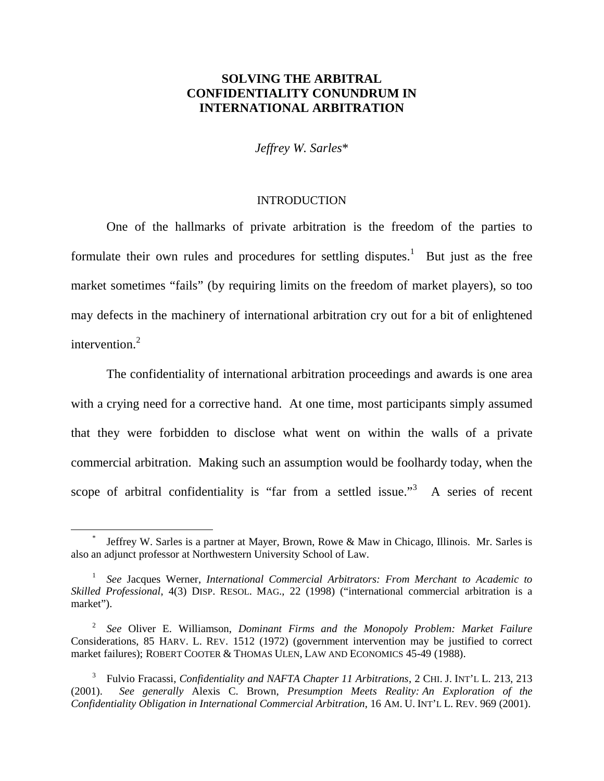# **SOLVING THE ARBITRAL CONFIDENTIALITY CONUNDRUM IN INTERNATIONAL ARBITRATION**

*Jeffrey W. Sarles*[\\*](#page-0-0)

#### INTRODUCTION

One of the hallmarks of private arbitration is the freedom of the parties to formulate their own rules and procedures for settling disputes.<sup>[1](#page-0-1)</sup> But just as the free market sometimes "fails" (by requiring limits on the freedom of market players), so too may defects in the machinery of international arbitration cry out for a bit of enlightened intervention.<sup>[2](#page-0-2)</sup>

The confidentiality of international arbitration proceedings and awards is one area with a crying need for a corrective hand. At one time, most participants simply assumed that they were forbidden to disclose what went on within the walls of a private commercial arbitration. Making such an assumption would be foolhardy today, when the scope of arbitral confidentiality is "far from a settled issue."<sup>[3](#page-0-3)</sup> A series of recent

<span id="page-0-0"></span><sup>\*</sup> Jeffrey W. Sarles is a partner at Mayer, Brown, Rowe & Maw in Chicago, Illinois. Mr. Sarles is also an adjunct professor at Northwestern University School of Law.

<span id="page-0-1"></span><sup>&</sup>lt;sup>1</sup> See Jacques Werner, *International Commercial Arbitrators: From Merchant to Academic to Skilled Professional*, 4(3) DISP. RESOL. MAG., 22 (1998) ("international commercial arbitration is a market").

<span id="page-0-2"></span><sup>2</sup> *See* Oliver E. Williamson, *Dominant Firms and the Monopoly Problem: Market Failure* Considerations, 85 HARV. L. REV. 1512 (1972) (government intervention may be justified to correct market failures); ROBERT COOTER & THOMAS ULEN, LAW AND ECONOMICS 45-49 (1988).

<span id="page-0-3"></span><sup>&</sup>lt;sup>3</sup> Fulvio Fracassi, *Confidentiality and NAFTA Chapter 11 Arbitrations*, 2 CHI. J. INT'L L. 213, 213 (2001). *See generally* Alexis C. Brown, *Presumption Meets Reality: An Exploration of the Confidentiality Obligation in International Commercial Arbitration*, 16 AM. U. INT'L L. REV. 969 (2001).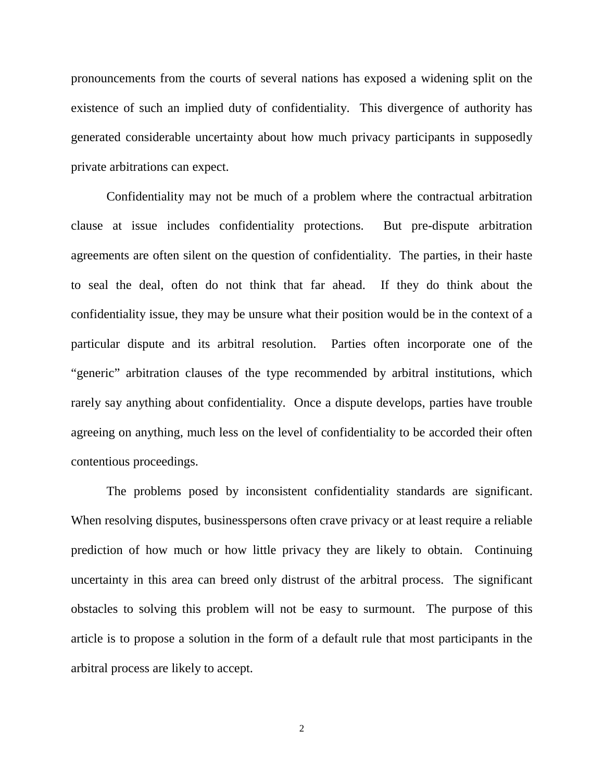pronouncements from the courts of several nations has exposed a widening split on the existence of such an implied duty of confidentiality. This divergence of authority has generated considerable uncertainty about how much privacy participants in supposedly private arbitrations can expect.

Confidentiality may not be much of a problem where the contractual arbitration clause at issue includes confidentiality protections. But pre-dispute arbitration agreements are often silent on the question of confidentiality. The parties, in their haste to seal the deal, often do not think that far ahead. If they do think about the confidentiality issue, they may be unsure what their position would be in the context of a particular dispute and its arbitral resolution. Parties often incorporate one of the "generic" arbitration clauses of the type recommended by arbitral institutions, which rarely say anything about confidentiality. Once a dispute develops, parties have trouble agreeing on anything, much less on the level of confidentiality to be accorded their often contentious proceedings.

The problems posed by inconsistent confidentiality standards are significant. When resolving disputes, businesspersons often crave privacy or at least require a reliable prediction of how much or how little privacy they are likely to obtain. Continuing uncertainty in this area can breed only distrust of the arbitral process. The significant obstacles to solving this problem will not be easy to surmount. The purpose of this article is to propose a solution in the form of a default rule that most participants in the arbitral process are likely to accept.

2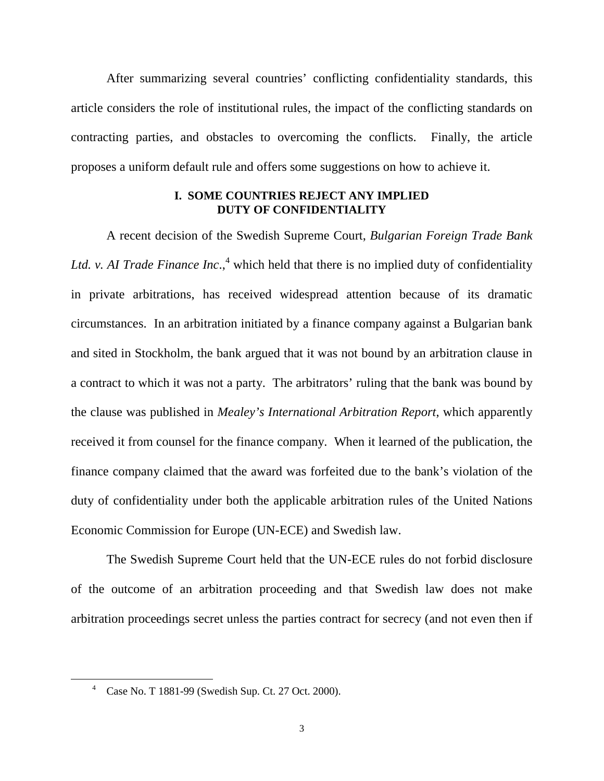After summarizing several countries' conflicting confidentiality standards, this article considers the role of institutional rules, the impact of the conflicting standards on contracting parties, and obstacles to overcoming the conflicts. Finally, the article proposes a uniform default rule and offers some suggestions on how to achieve it.

### **I. SOME COUNTRIES REJECT ANY IMPLIED DUTY OF CONFIDENTIALITY**

A recent decision of the Swedish Supreme Court, *Bulgarian Foreign Trade Bank* Ltd. v. AI Trade Finance Inc.,<sup>[4](#page-2-0)</sup> which held that there is no implied duty of confidentiality in private arbitrations, has received widespread attention because of its dramatic circumstances. In an arbitration initiated by a finance company against a Bulgarian bank and sited in Stockholm, the bank argued that it was not bound by an arbitration clause in a contract to which it was not a party. The arbitrators' ruling that the bank was bound by the clause was published in *Mealey's International Arbitration Report*, which apparently received it from counsel for the finance company. When it learned of the publication, the finance company claimed that the award was forfeited due to the bank's violation of the duty of confidentiality under both the applicable arbitration rules of the United Nations Economic Commission for Europe (UN-ECE) and Swedish law.

The Swedish Supreme Court held that the UN-ECE rules do not forbid disclosure of the outcome of an arbitration proceeding and that Swedish law does not make arbitration proceedings secret unless the parties contract for secrecy (and not even then if

<span id="page-2-0"></span><sup>4</sup> Case No. T 1881-99 (Swedish Sup. Ct. 27 Oct. 2000).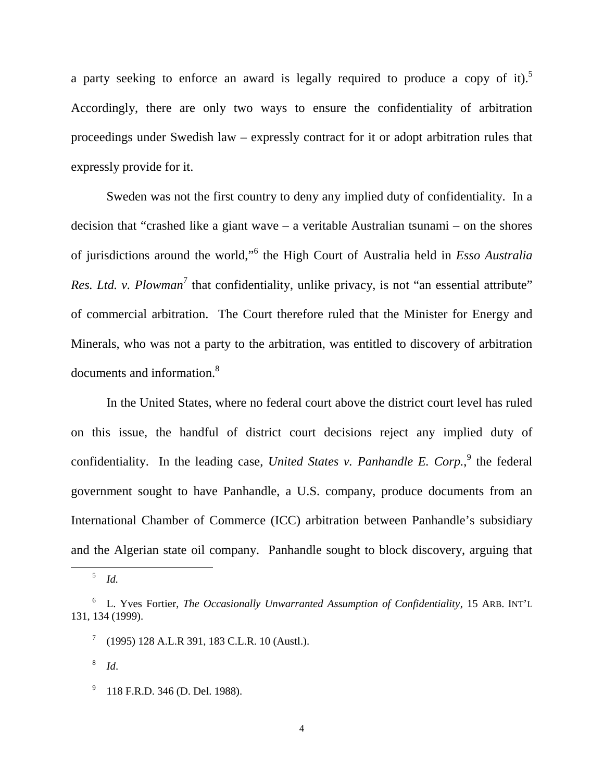a party seeking to enforce an award is legally required to produce a copyofit).<sup>5</sup> Accordingly, there are only two ways to ensure the confidentiality of arbitration proceedings under Swedish law – expressly contract for it or adopt arbitration rules that expressly provide for it.

Sweden was not the first country to deny any implied duty of confidentiality. In a decision that "crashed like a giant wave – a veritable Australian tsunami – on the shores of jurisdictions around the world,"[6](#page-3-1) the High Court of Australia held in *Esso Australia* Res. Ltd. v. Plowman<sup>[7](#page-3-2)</sup> that confidentiality, unlike privacy, is not "an essential attribute" of commercial arbitration. The Court therefore ruled that the Minister for Energy and Minerals, who was not a party to the arbitration, was entitled to discovery of arbitration documents and information.<sup>[8](#page-3-3)</sup>

In the United States, where no federal court above the district court level has ruled on this issue, the handful of district court decisions reject any implied duty of confidentiality. In the leading case, *United States v. Panhandle E. Corp.*, <sup>[9](#page-3-4)</sup> the federal government sought to have Panhandle, a U.S. company, produce documents from an International Chamber of Commerce (ICC) arbitration between Panhandle's subsidiary and the Algerian state oil company. Panhandle sought to block discovery, arguing that

<span id="page-3-1"></span><span id="page-3-0"></span><sup>5</sup> *Id.*

<sup>6</sup> L. Yves Fortier, *The Occasionally Unwarranted Assumption of Confidentiality*, 15 ARB. INT'L 131, 134 (1999).

<span id="page-3-2"></span> $7(1995)$  128 A.L.R 391, 183 C.L.R. 10 (Austl.).

<span id="page-3-3"></span><sup>8</sup> *Id*.

<span id="page-3-4"></span><sup>9</sup> 118 F.R.D. 346 (D. Del. 1988).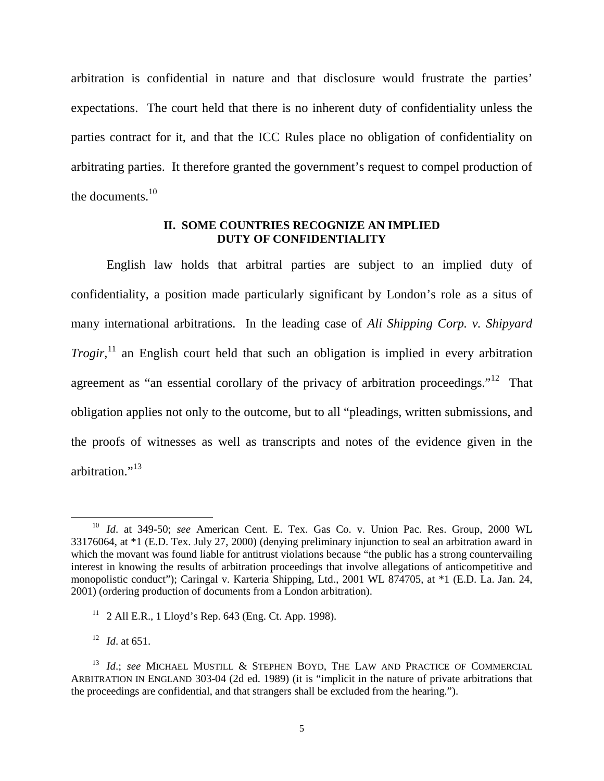arbitration is confidential in nature and that disclosure would frustrate the parties' expectations. The court held that there is no inherent duty of confidentiality unless the parties contract for it, and that the ICC Rules place no obligation of confidentiality on arbitrating parties. It therefore granted the government's request to compel production of the documents.[10](#page-4-0)

#### **II. SOME COUNTRIES RECOGNIZE AN IMPLIED DUTY OF CONFIDENTIALITY**

English law holds that arbitral parties are subject to an implied duty of confidentiality, a position made particularly significant by London's role as a situs of many international arbitrations. In the leading case of *Ali Shipping Corp. v. Shipyard Trogir*<sup>[11](#page-4-1)</sup> an English court held that such an obligation is implied in every arbitration agreement as "an essential corollary of the privacy of arbitration proceedings."<sup>[12](#page-4-2)</sup> That obligation applies not only to the outcome, but to all "pleadings, written submissions, and the proofs of witnesses as well as transcripts and notes of the evidence given in the arbitration."<sup>[13](#page-4-3)</sup>

<span id="page-4-3"></span><span id="page-4-2"></span><sup>12</sup> *Id*. at 651.

<span id="page-4-0"></span><sup>10</sup> *Id*. at 349-50; *see* American Cent. E. Tex. Gas Co. v. Union Pac. Res. Group, 2000 WL 33176064, at \*1 (E.D. Tex. July 27, 2000) (denying preliminary injunction to seal an arbitration award in which the movant was found liable for antitrust violations because "the public has a strong countervailing interest in knowing the results of arbitration proceedings that involve allegations of anticompetitive and monopolistic conduct"); Caringal v. Karteria Shipping, Ltd., 2001 WL 874705, at \*1 (E.D. La. Jan. 24, 2001) (ordering production of documents from a London arbitration).

<span id="page-4-1"></span> $11$  2 All E.R., 1 Lloyd's Rep. 643 (Eng. Ct. App. 1998).

<sup>&</sup>lt;sup>13</sup> *Id.*; *see* MICHAEL MUSTILL & STEPHEN BOYD, THE LAW AND PRACTICE OF COMMERCIAL ARBITRATION IN ENGLAND 303-04 (2d ed. 1989) (it is "implicit in the nature of private arbitrations that the proceedings are confidential, and that strangers shall be excluded from the hearing.").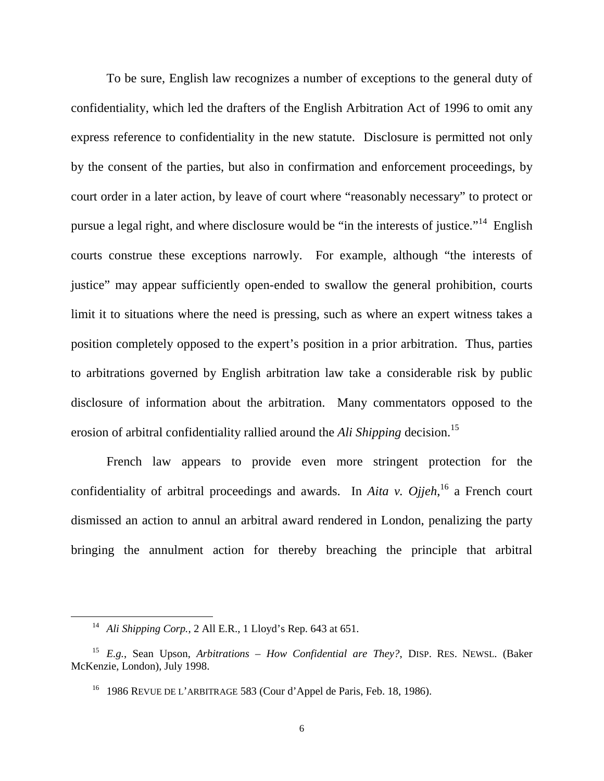To be sure, English law recognizes a number of exceptions to the general duty of confidentiality, which led the drafters of the English Arbitration Act of 1996 to omit any express reference to confidentiality in the new statute. Disclosure is permitted not only by the consent of the parties, but also in confirmation and enforcement proceedings, by court order in a later action, by leave of court where "reasonably necessary" to protect or pursue a legal right, and where disclosure would be "in the interests of justice."<sup>[14](#page-5-0)</sup> English courts construe these exceptions narrowly. For example, although "the interests of justice" may appear sufficiently open-ended to swallow the general prohibition, courts limit it to situations where the need is pressing, such as where an expert witness takes a position completely opposed to the expert's position in a prior arbitration. Thus, parties to arbitrations governed by English arbitration law take a considerable risk by public disclosure of information about the arbitration. Many commentators opposed to the erosion of arbitral confidentiality rallied around the *Ali Shipping* decision.<sup>[15](#page-5-1)</sup>

French law appears to provide even more stringent protection for the confidentiality of arbitral proceedings and awards. In *Aita v. Ojjeh*, [16](#page-5-2) a French court dismissed an action to annul an arbitral award rendered in London, penalizing the party bringing the annulment action for thereby breaching the principle that arbitral

<span id="page-5-1"></span><span id="page-5-0"></span><sup>14</sup> *Ali Shipping Corp.*, 2 All E.R., 1 Lloyd's Rep. 643 at 651.

<sup>15</sup> *E.g.*, Sean Upson, *Arbitrations – How Confidential are They?*, DISP. RES. NEWSL. (Baker McKenzie, London), July 1998.

<span id="page-5-2"></span><sup>16</sup> 1986 REVUE DE L'ARBITRAGE 583 (Cour d'Appel de Paris, Feb. 18, 1986).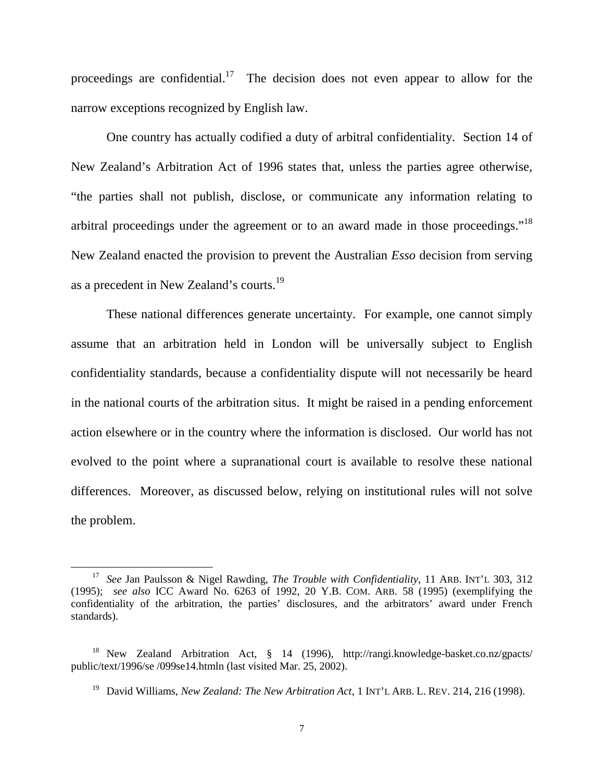proceedings are confidential.<sup>[17](#page-6-0)</sup> The decision does not even appear to allow for the narrow exceptions recognized by English law.

One country has actually codified a duty of arbitral confidentiality. Section 14 of New Zealand's Arbitration Act of 1996 states that, unless the parties agree otherwise, "the parties shall not publish, disclose, or communicate any information relating to arbitral proceedings under the agreement or to an award made in those proceedings."[18](#page-6-1) New Zealand enacted the provision to prevent the Australian *Esso* decision from serving as a precedent in New Zealand's courts.[19](#page-6-2)

These national differences generate uncertainty. For example, one cannot simply assume that an arbitration held in London will be universally subject to English confidentiality standards, because a confidentiality dispute will not necessarily be heard in the national courts of the arbitration situs. It might be raised in a pending enforcement action elsewhere or in the country where the information is disclosed. Our world has not evolved to the point where a supranational court is available to resolve these national differences. Moreover, as discussed below, relying on institutional rules will not solve the problem.

<span id="page-6-0"></span><sup>17</sup> *See* Jan Paulsson & Nigel Rawding, *The Trouble with Confidentiality*, 11 ARB. INT'L 303, 312 (1995); *see also* ICC Award No. 6263 of 1992, 20 Y.B. COM. ARB. 58 (1995) (exemplifying the confidentiality of the arbitration, the parties' disclosures, and the arbitrators' award under French standards).

<span id="page-6-1"></span><sup>&</sup>lt;sup>18</sup> New Zealand Arbitration Act, § 14 (1996), http://rangi.knowledge-basket.co.nz/gpacts/ public/text/1996/se /099se14.htmln (last visited Mar. 25, 2002).

<span id="page-6-2"></span><sup>&</sup>lt;sup>19</sup> David Williams, *New Zealand: The New Arbitration Act*, 1 INT'L ARB. L. REV. 214, 216 (1998).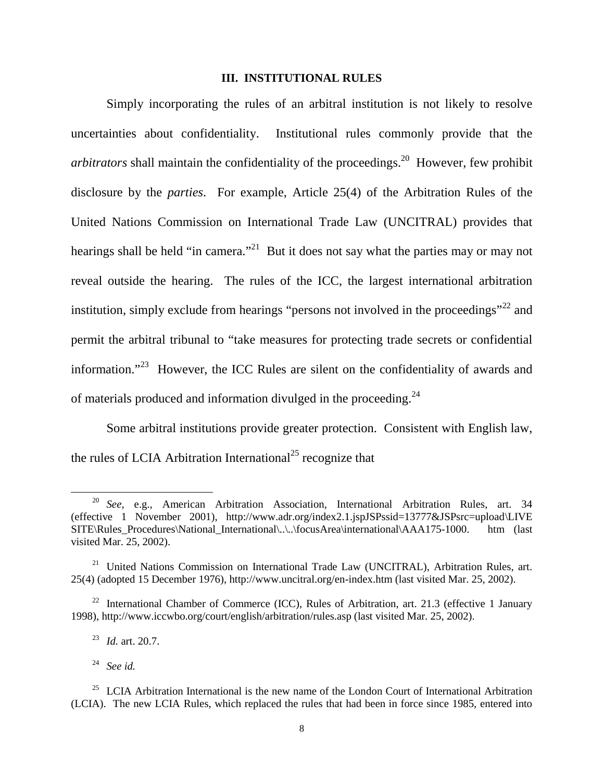### **III. INSTITUTIONAL RULES**

Simply incorporating the rules of an arbitral institution is not likely to resolve uncertainties about confidentiality. Institutional rules commonly provide that the *arbitrators* shall maintain the confidentiality of the proceedings.<sup>[20](#page-7-0)</sup> However, few prohibit disclosure by the *parties*. For example, Article 25(4) of the Arbitration Rules of the United Nations Commission on International Trade Law (UNCITRAL) provides that hearings shall be held "in camera."<sup>[21](#page-7-1)</sup> But it does not say what the parties may or may not reveal outside the hearing. The rules of the ICC, the largest international arbitration institution, simply exclude from hearings "persons not involved in the proceedings"<sup>[22](#page-7-2)</sup> and permit the arbitral tribunal to "take measures for protecting trade secrets or confidential information."[23](#page-7-3) However, the ICC Rules are silent on the confidentiality of awards and of materials produced and information divulged in the proceeding.<sup>[24](#page-7-4)</sup>

Some arbitral institutions provide greater protection. Consistent with English law, the rules of LCIA Arbitration International<sup>[25](#page-7-5)</sup> recognize that

<span id="page-7-0"></span><sup>20</sup> *See*, e.g., American Arbitration Association, International Arbitration Rules, art. 34 (effective 1 November 2001), http://www.adr.org/index2.1.jspJSPssid=13777&JSPsrc=upload\LIVE SITE\Rules Procedures\National International\..\.\focusArea\international\AAA175-1000. htm (last visited Mar. 25, 2002).

<span id="page-7-1"></span> $21$  United Nations Commission on International Trade Law (UNCITRAL), Arbitration Rules, art. 25(4) (adopted 15 December 1976), http://www.uncitral.org/en-index.htm (last visited Mar. 25, 2002).

<span id="page-7-2"></span><sup>&</sup>lt;sup>22</sup> International Chamber of Commerce (ICC), Rules of Arbitration, art. 21.3 (effective 1 January 1998), http://www.iccwbo.org/court/english/arbitration/rules.asp (last visited Mar. 25, 2002).

<span id="page-7-3"></span><sup>23</sup> *Id.* art. 20.7.

<span id="page-7-5"></span><span id="page-7-4"></span><sup>24</sup> *See id.*

<sup>&</sup>lt;sup>25</sup> LCIA Arbitration International is the new name of the London Court of International Arbitration (LCIA). The new LCIA Rules, which replaced the rules that had been in force since 1985, entered into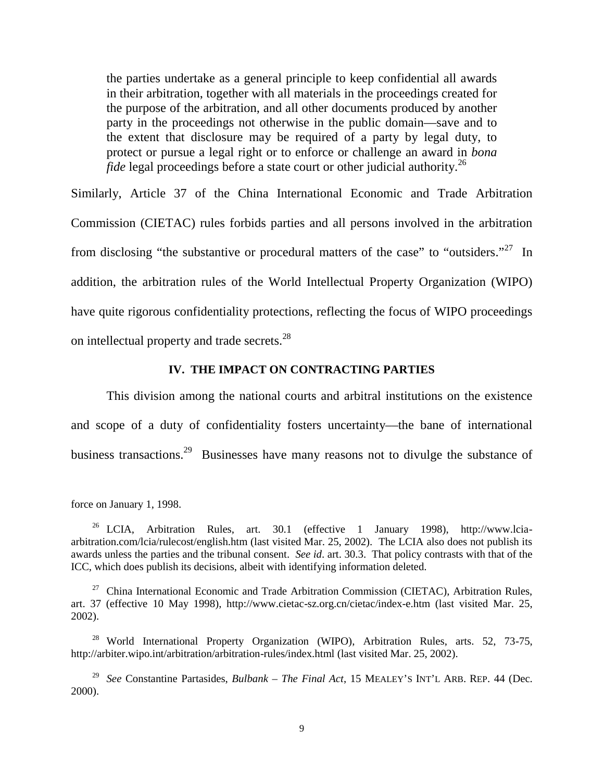the parties undertake as a general principle to keep confidential all awards in their arbitration, together with all materials in the proceedings created for the purpose of the arbitration, and all other documents produced by another party in the proceedings not otherwise in the public domain––save and to the extent that disclosure may be required of a party by legal duty, to protect or pursue a legal right or to enforce or challenge an award in *bona fide* legal proceedings before a state court or other judicial authority.<sup>[26](#page-8-0)</sup>

Similarly, Article 37 of the China International Economic and Trade Arbitration Commission (CIETAC) rules forbids parties and all persons involved in the arbitration from disclosing "the substantive or procedural matters of the case" to "outsiders."<sup>[27](#page-8-1)</sup> In addition, the arbitration rules of the World Intellectual Property Organization (WIPO) have quite rigorous confidentiality protections, reflecting the focus of WIPO proceedings on intellectual property and trade secrets.[28](#page-8-2)

## **IV. THE IMPACT ON CONTRACTING PARTIES**

This division among the national courts and arbitral institutions on the existence and scope of a duty of confidentiality fosters uncertainty––the bane of international business transactions.<sup>[29](#page-8-3)</sup> Businesses have many reasons not to divulge the substance of

force on January 1, 1998.

<span id="page-8-0"></span><sup>&</sup>lt;sup>26</sup> LCIA, Arbitration Rules, art. 30.1 (effective 1 January 1998), http://www.lciaarbitration.com/lcia/rulecost/english.htm (last visited Mar. 25, 2002). The LCIA also does not publish its awards unless the parties and the tribunal consent. *See id*. art. 30.3. That policy contrasts with that of the ICC, which does publish its decisions, albeit with identifying information deleted.

<span id="page-8-1"></span><sup>&</sup>lt;sup>27</sup> China International Economic and Trade Arbitration Commission (CIETAC), Arbitration Rules, art. 37 (effective 10 May 1998), http://www.cietac-sz.org.cn/cietac/index-e.htm (last visited Mar. 25, 2002).

<span id="page-8-2"></span><sup>&</sup>lt;sup>28</sup> World International Property Organization (WIPO), Arbitration Rules, arts. 52, 73-75, http://arbiter.wipo.int/arbitration/arbitration-rules/index.html (last visited Mar. 25, 2002).

<span id="page-8-3"></span><sup>29</sup> *See* Constantine Partasides, *Bulbank – The Final Act*, 15 MEALEY'S INT'L ARB. REP. 44 (Dec. 2000).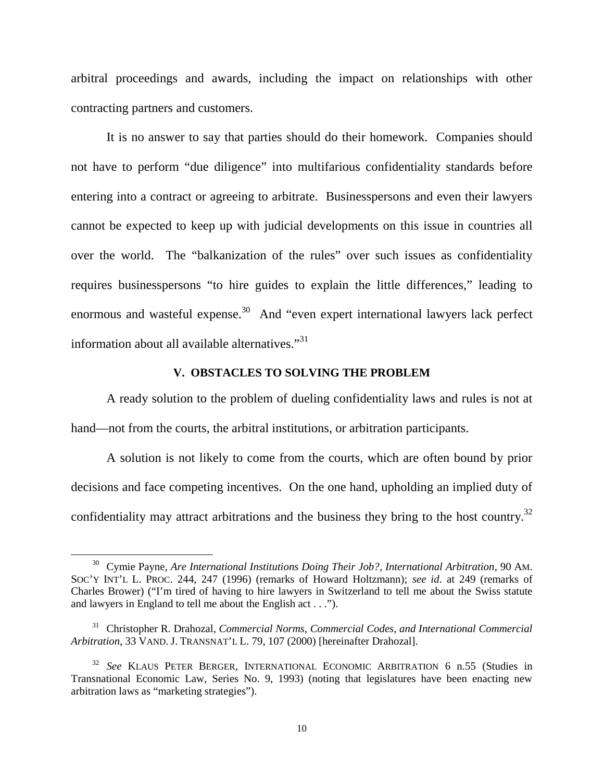arbitral proceedings and awards, including the impact on relationships with other contracting partners and customers.

It is no answer to say that parties should do their homework. Companies should not have to perform "due diligence" into multifarious confidentiality standards before entering into a contract or agreeing to arbitrate. Businesspersons and even their lawyers cannot be expected to keep up with judicial developments on this issue in countries all over the world. The "balkanization of the rules" over such issues as confidentiality requires businesspersons "to hire guides to explain the little differences," leading to enormous and wasteful expense.<sup>[30](#page-9-0)</sup> And "even expert international lawyers lack perfect information about all available alternatives. $\cdot^{31}$  $\cdot^{31}$  $\cdot^{31}$ 

#### **V. OBSTACLES TO SOLVING THE PROBLEM**

A ready solution to the problem of dueling confidentiality laws and rules is not at hand—not from the courts, the arbitral institutions, or arbitration participants.

A solution is not likely to come from the courts, which are often bound by prior decisions and face competing incentives. On the one hand, upholding an implied duty of confidentiality may attract arbitrations and the business they bring to the host country.<sup>[32](#page-9-2)</sup>

<span id="page-9-0"></span><sup>30</sup> Cymie Payne, *Are International Institutions Doing Their Job?*, *International Arbitration*, 90 AM. SOC'Y INT'L L. PROC. 244, 247 (1996) (remarks of Howard Holtzmann); *see id*. at 249 (remarks of Charles Brower) ("I'm tired of having to hire lawyers in Switzerland to tell me about the Swiss statute and lawyers in England to tell me about the English act . . .").

<span id="page-9-1"></span><sup>31</sup> Christopher R. Drahozal, *Commercial Norms, Commercial Codes, and International Commercial Arbitration*, 33 VAND. J. TRANSNAT'L L. 79, 107 (2000) [hereinafter Drahozal].

<span id="page-9-2"></span><sup>32</sup> *See* KLAUS PETER BERGER, INTERNATIONAL ECONOMIC ARBITRATION 6 n.55 (Studies in Transnational Economic Law, Series No. 9, 1993) (noting that legislatures have been enacting new arbitration laws as "marketing strategies").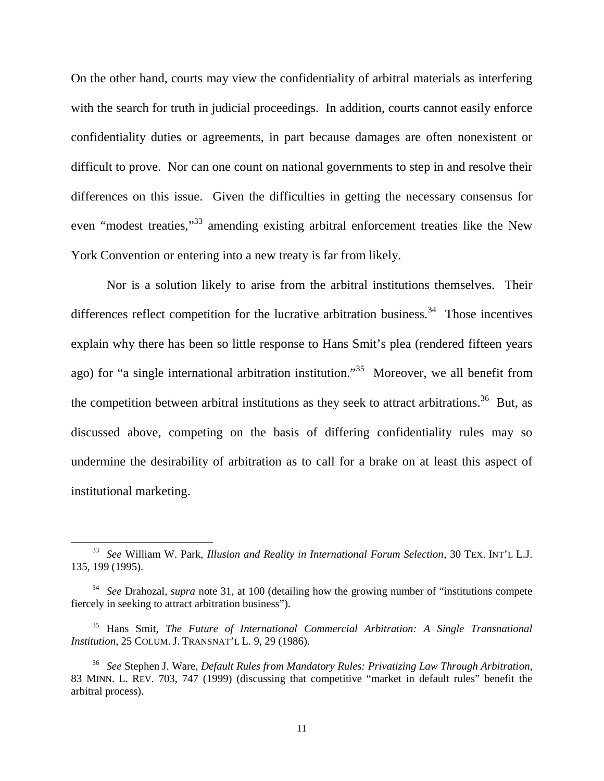On the other hand, courts may view the confidentiality of arbitral materials as interfering with the search for truth in judicial proceedings. In addition, courts cannot easily enforce confidentiality duties or agreements, in part because damages are often nonexistent or difficult to prove. Nor can one count on national governments to step in and resolve their differences on this issue. Given the difficulties in getting the necessary consensus for even "modest treaties,"[33](#page-10-0) amending existing arbitral enforcement treaties like the New York Convention or entering into a new treaty is far from likely.

Nor is a solution likely to arise from the arbitral institutions themselves. Their differences reflect competition for the lucrative arbitration business.<sup>[34](#page-10-1)</sup> Those incentives explain why there has been so little response to Hans Smit's plea (rendered fifteen years ago) for "a single international arbitration institution."<sup>[35](#page-10-2)</sup> Moreover, we all benefit from the competition between arbitral institutions as they seek to attract arbitrations.<sup>[36](#page-10-3)</sup> But, as discussed above, competing on the basis of differing confidentiality rules may so undermine the desirability of arbitration as to call for a brake on at least this aspect of institutional marketing.

<span id="page-10-0"></span><sup>33</sup> *See* William W. Park, *Illusion and Reality in International Forum Selection*, 30 TEX. INT'L L.J. 135, 199 (1995).

<span id="page-10-1"></span><sup>34</sup> *See* Drahozal, *supra* note 31, at 100 (detailing how the growing number of "institutions compete fiercely in seeking to attract arbitration business").

<span id="page-10-2"></span><sup>35</sup> Hans Smit, *The Future of International Commercial Arbitration: A Single Transnational Institution*, 25 COLUM. J. TRANSNAT'L L. 9, 29 (1986).

<span id="page-10-3"></span><sup>36</sup> *See* Stephen J. Ware, *Default Rules from Mandatory Rules: Privatizing Law Through Arbitration*, 83 MINN. L. REV. 703, 747 (1999) (discussing that competitive "market in default rules" benefit the arbitral process).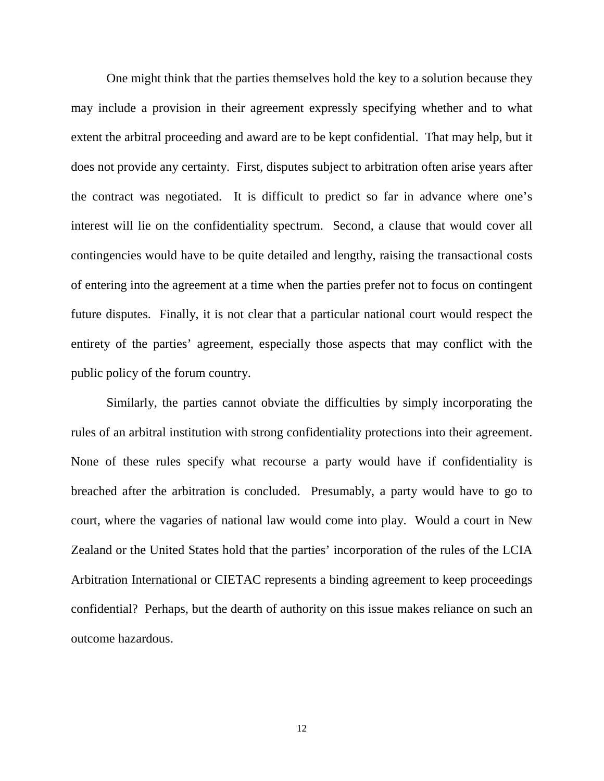One might think that the parties themselves hold the key to a solution because they may include a provision in their agreement expressly specifying whether and to what extent the arbitral proceeding and award are to be kept confidential. That may help, but it does not provide any certainty. First, disputes subject to arbitration often arise years after the contract was negotiated. It is difficult to predict so far in advance where one's interest will lie on the confidentiality spectrum. Second, a clause that would cover all contingencies would have to be quite detailed and lengthy, raising the transactional costs of entering into the agreement at a time when the parties prefer not to focus on contingent future disputes. Finally, it is not clear that a particular national court would respect the entirety of the parties' agreement, especially those aspects that may conflict with the public policy of the forum country.

Similarly, the parties cannot obviate the difficulties by simply incorporating the rules of an arbitral institution with strong confidentiality protections into their agreement. None of these rules specify what recourse a party would have if confidentiality is breached after the arbitration is concluded. Presumably, a party would have to go to court, where the vagaries of national law would come into play. Would a court in New Zealand or the United States hold that the parties' incorporation of the rules of the LCIA Arbitration International or CIETAC represents a binding agreement to keep proceedings confidential? Perhaps, but the dearth of authority on this issue makes reliance on such an outcome hazardous.

12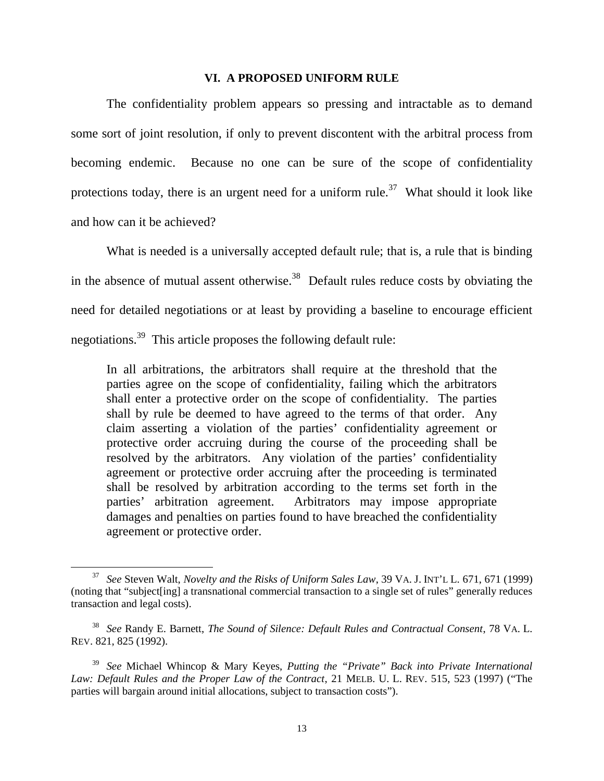#### **VI. A PROPOSED UNIFORM RULE**

The confidentiality problem appears so pressing and intractable as to demand some sort of joint resolution, if only to prevent discontent with the arbitral process from becoming endemic. Because no one can be sure of the scope of confidentiality protectionstoday, there is an urgent need for a uniform rule.<sup>37</sup> What should it look like and how can it be achieved?

What is needed is a universally accepted default rule; that is, a rule that is binding in the absence of mutual assent otherwise. $38$  Default rules reduce costs by obviating the need for detailed negotiations or at least by providing a baseline to encourage efficient negotiations.[39](#page-12-2) This article proposes the following default rule:

In all arbitrations, the arbitrators shall require at the threshold that the parties agree on the scope of confidentiality, failing which the arbitrators shall enter a protective order on the scope of confidentiality. The parties shall by rule be deemed to have agreed to the terms of that order. Any claim asserting a violation of the parties' confidentiality agreement or protective order accruing during the course of the proceeding shall be resolved by the arbitrators. Any violation of the parties' confidentiality agreement or protective order accruing after the proceeding is terminated shall be resolved by arbitration according to the terms set forth in the parties' arbitration agreement. Arbitrators may impose appropriate damages and penalties on parties found to have breached the confidentiality agreement or protective order.

<span id="page-12-0"></span><sup>37</sup> *See* Steven Walt, *Novelty and the Risks of Uniform Sales Law*, 39 VA. J. INT'L L. 671, 671 (1999) (noting that "subject[ing] a transnational commercial transaction to a single set of rules" generally reduces transaction and legal costs).

<span id="page-12-1"></span><sup>38</sup> *See* Randy E. Barnett, *The Sound of Silence: Default Rules and Contractual Consent*, 78 VA. L. REV. 821, 825 (1992).

<span id="page-12-2"></span><sup>39</sup> *See* Michael Whincop & Mary Keyes, *Putting the "Private" Back into Private International Law: Default Rules and the Proper Law of the Contract*, 21 MELB. U. L. REV. 515, 523 (1997) ("The parties will bargain around initial allocations, subject to transaction costs").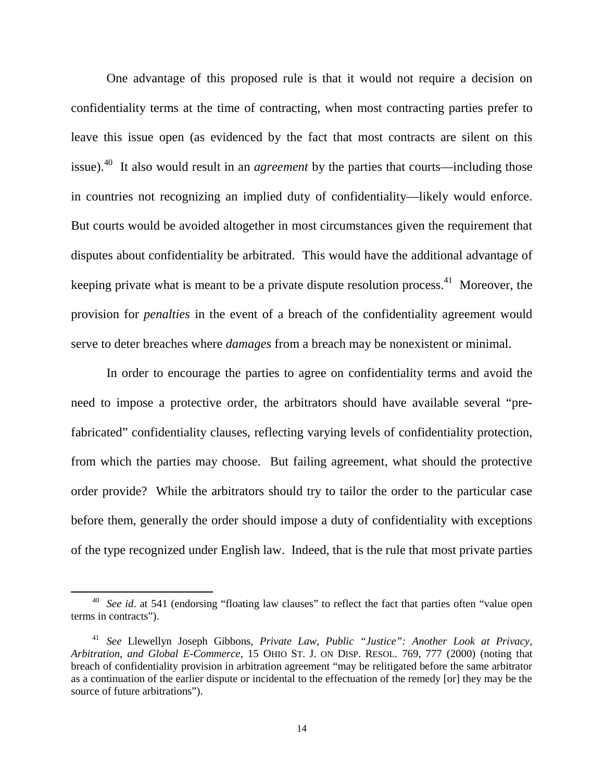One advantage of this proposed rule is that it would not require a decision on confidentiality terms at the time of contracting, when most contracting parties prefer to leave this issue open (as evidenced by the fact that most contracts are silent on this issue).[40](#page-13-0) It also would result in an *agreement* by the parties that courts––including those in countries not recognizing an implied duty of confidentiality––likely would enforce. But courts would be avoided altogether in most circumstances given the requirement that disputes about confidentiality be arbitrated. This would have the additional advantage of keeping private what is meant to be a private dispute resolution process.<sup>[41](#page-13-1)</sup> Moreover, the provision for *penalties* in the event of a breach of the confidentiality agreement would serve to deter breaches where *damages* from a breach may be nonexistent or minimal.

In order to encourage the parties to agree on confidentiality terms and avoid the need to impose a protective order, the arbitrators should have available several "prefabricated" confidentiality clauses, reflecting varying levels of confidentiality protection, from which the parties may choose. But failing agreement, what should the protective order provide? While the arbitrators should try to tailor the order to the particular case before them, generally the order should impose a duty of confidentiality with exceptions of the type recognized under English law. Indeed, that is the rule that most private parties

<span id="page-13-0"></span><sup>&</sup>lt;sup>40</sup> *See id.* at 541 (endorsing "floating law clauses" to reflect the fact that parties often "value open" terms in contracts").

<span id="page-13-1"></span><sup>41</sup> *See* Llewellyn Joseph Gibbons, *Private Law, Public "Justice": Another Look at Privacy, Arbitration, and Global E-Commerce*, 15 OHIO ST. J. ON DISP. RESOL. 769, 777 (2000) (noting that breach of confidentiality provision in arbitration agreement "may be relitigated before the same arbitrator as a continuation of the earlier dispute or incidental to the effectuation of the remedy [or] they may be the source of future arbitrations").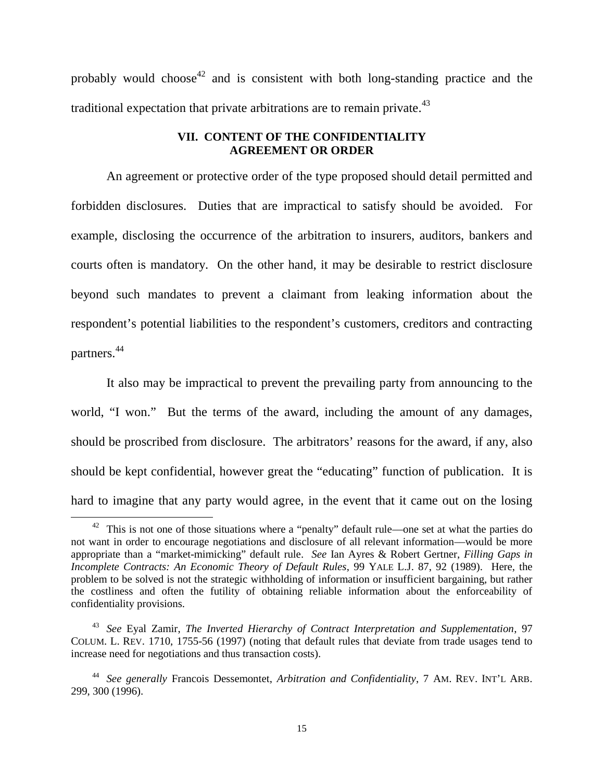probably would choose<sup>[42](#page-14-0)</sup> and is consistent with both long-standing practice and the traditional expectation that private arbitrations are to remain private.<sup>[43](#page-14-1)</sup>

## **VII. CONTENT OF THE CONFIDENTIALITY AGREEMENT OR ORDER**

An agreement or protective order of the type proposed should detail permitted and forbidden disclosures. Duties that are impractical to satisfy should be avoided. For example, disclosing the occurrence of the arbitration to insurers, auditors, bankers and courts often is mandatory. On the other hand, it may be desirable to restrict disclosure beyond such mandates to prevent a claimant from leaking information about the respondent's potential liabilities to the respondent's customers, creditors and contracting partners.[44](#page-14-2)

It also may be impractical to prevent the prevailing party from announcing to the world, "I won." But the terms of the award, including the amount of any damages, should be proscribed from disclosure. The arbitrators' reasons for the award, if any, also should be kept confidential, however great the "educating" function of publication. It is hard to imagine that any party would agree, in the event that it came out on the losing

<span id="page-14-0"></span> $42$  This is not one of those situations where a "penalty" default rule—one set at what the parties do not want in order to encourage negotiations and disclosure of all relevant information––would be more appropriate than a "market-mimicking" default rule. *See* Ian Ayres & Robert Gertner, *Filling Gaps in Incomplete Contracts: An Economic Theory of Default Rules*, 99 YALE L.J. 87, 92 (1989). Here, the problem to be solved is not the strategic withholding of information or insufficient bargaining, but rather the costliness and often the futility of obtaining reliable information about the enforceability of confidentiality provisions.

<span id="page-14-1"></span><sup>43</sup> *See* Eyal Zamir, *The Inverted Hierarchy of Contract Interpretation and Supplementation*, 97 COLUM. L. REV. 1710, 1755-56 (1997) (noting that default rules that deviate from trade usages tend to increase need for negotiations and thus transaction costs).

<span id="page-14-2"></span><sup>44</sup> *See generally* Francois Dessemontet, *Arbitration and Confidentiality*, 7 AM. REV. INT'L ARB. 299, 300 (1996).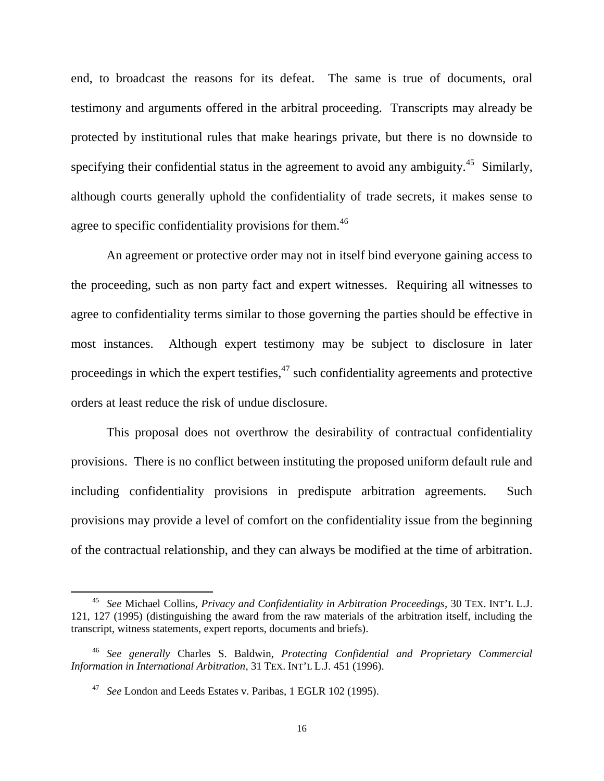end, to broadcast the reasons for its defeat. The same is true of documents, oral testimony and arguments offered in the arbitral proceeding. Transcripts may already be protected by institutional rules that make hearings private, but there is no downside to specifying their confidential status in the agreement to avoid any ambiguity.<sup>[45](#page-15-0)</sup> Similarly, although courts generally uphold the confidentiality of trade secrets, it makes sense to agree to specific confidentiality provisions for them.<sup>[46](#page-15-1)</sup>

An agreement or protective order may not in itself bind everyone gaining access to the proceeding, such as non party fact and expert witnesses. Requiring all witnesses to agree to confidentiality terms similar to those governing the parties should be effective in most instances. Although expert testimony may be subject to disclosure in later proceedings in which the expert testifies, $47$  such confidentiality agreements and protective orders at least reduce the risk of undue disclosure.

This proposal does not overthrow the desirability of contractual confidentiality provisions. There is no conflict between instituting the proposed uniform default rule and including confidentiality provisions in predispute arbitration agreements. Such provisions may provide a level of comfort on the confidentiality issue from the beginning of the contractual relationship, and they can always be modified at the time of arbitration.

<span id="page-15-0"></span><sup>45</sup> *See* Michael Collins, *Privacy and Confidentiality in Arbitration Proceedings*, 30 TEX. INT'L L.J. 121, 127 (1995) (distinguishing the award from the raw materials of the arbitration itself, including the transcript, witness statements, expert reports, documents and briefs).

<span id="page-15-1"></span><sup>46</sup> *See generally* Charles S. Baldwin, *Protecting Confidential and Proprietary Commercial Information in International Arbitration*, 31 TEX. INT'L L.J. 451 (1996).

<span id="page-15-2"></span><sup>47</sup> *See* London and Leeds Estates v. Paribas, 1 EGLR 102 (1995).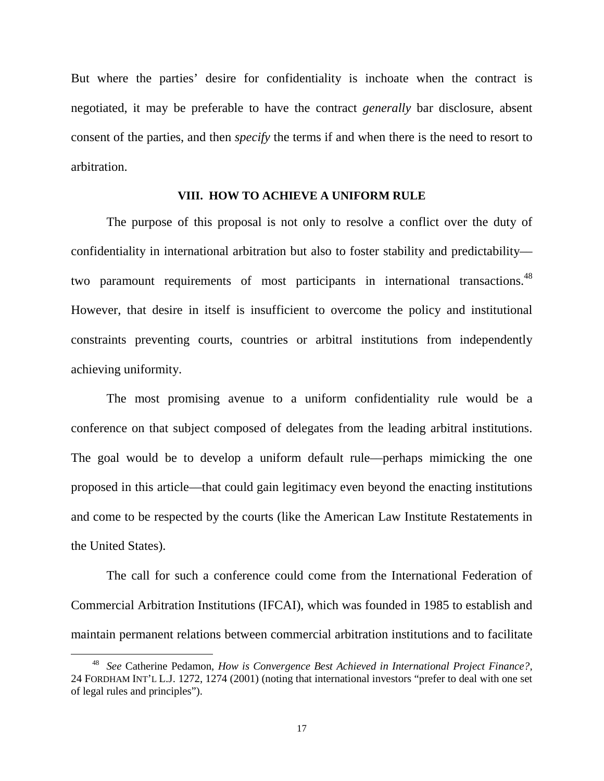But where the parties' desire for confidentiality is inchoate when the contract is negotiated, it may be preferable to have the contract *generally* bar disclosure, absent consent of the parties, and then *specify* the terms if and when there is the need to resort to arbitration.

## **VIII. HOW TO ACHIEVE A UNIFORM RULE**

The purpose of this proposal is not only to resolve a conflict over the duty of confidentiality in international arbitration but also to foster stability and predictability–– two paramount requirements of most participants in international transactions.<sup>[48](#page-16-0)</sup> However, that desire in itself is insufficient to overcome the policy and institutional constraints preventing courts, countries or arbitral institutions from independently achieving uniformity.

The most promising avenue to a uniform confidentiality rule would be a conference on that subject composed of delegates from the leading arbitral institutions. The goal would be to develop a uniform default rule––perhaps mimicking the one proposed in this article––that could gain legitimacy even beyond the enacting institutions and come to be respected by the courts (like the American Law Institute Restatements in the United States).

The call for such a conference could come from the International Federation of Commercial Arbitration Institutions (IFCAI), which was founded in 1985 to establish and maintain permanent relations between commercial arbitration institutions and to facilitate

<span id="page-16-0"></span><sup>48</sup> *See* Catherine Pedamon, *How is Convergence Best Achieved in International Project Finance?*, 24 FORDHAM INT'L L.J. 1272, 1274 (2001) (noting that international investors "prefer to deal with one set of legal rules and principles").